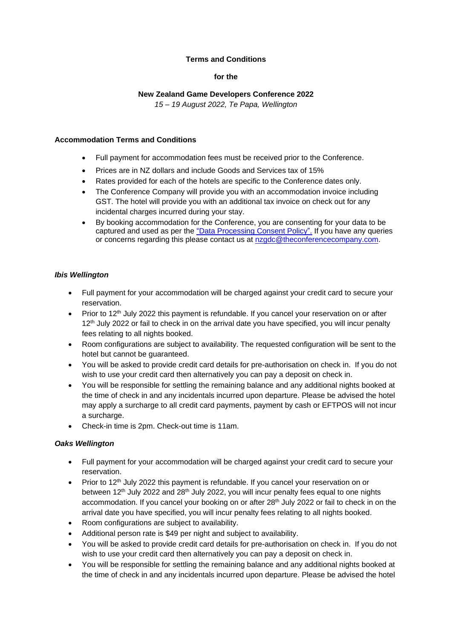# **Terms and Conditions**

### **for the**

# **New Zealand Game Developers Conference 2022**

*15 – 19 August 2022, Te Papa, Wellington*

#### **Accommodation Terms and Conditions**

- Full payment for accommodation fees must be received prior to the Conference.
- Prices are in NZ dollars and include Goods and Services tax of 15%
- Rates provided for each of the hotels are specific to the Conference dates only.
- The Conference Company will provide you with an accommodation invoice including GST. The hotel will provide you with an additional tax invoice on check out for any incidental charges incurred during your stay.
- By booking accommodation for the Conference, you are consenting for your data to be captured and used as per the ["Data Processing Consent Policy".](https://secure.tcc.co.nz/ei/images/NZGDC22/NZGDC_DataConsent.pdf) If you have any queries or concerns regarding this please contact us at [nzgdc@theconferencecompany.com.](mailto:nzgdc@theconferencecompany.com)

#### *Ibis Wellington*

- Full payment for your accommodation will be charged against your credit card to secure your reservation.
- Prior to 12<sup>th</sup> July 2022 this payment is refundable. If you cancel your reservation on or after 12<sup>th</sup> July 2022 or fail to check in on the arrival date you have specified, you will incur penalty fees relating to all nights booked.
- Room configurations are subject to availability. The requested configuration will be sent to the hotel but cannot be guaranteed.
- You will be asked to provide credit card details for pre-authorisation on check in. If you do not wish to use your credit card then alternatively you can pay a deposit on check in.
- You will be responsible for settling the remaining balance and any additional nights booked at the time of check in and any incidentals incurred upon departure. Please be advised the hotel may apply a surcharge to all credit card payments, payment by cash or EFTPOS will not incur a surcharge.
- Check-in time is 2pm. Check-out time is 11am.

#### *Oaks Wellington*

- Full payment for your accommodation will be charged against your credit card to secure your reservation.
- Prior to 12<sup>th</sup> July 2022 this payment is refundable. If you cancel your reservation on or between 12<sup>th</sup> July 2022 and 28<sup>th</sup> July 2022, you will incur penalty fees equal to one nights accommodation. If you cancel your booking on or after 28<sup>th</sup> July 2022 or fail to check in on the arrival date you have specified, you will incur penalty fees relating to all nights booked.
- Room configurations are subject to availability.
- Additional person rate is \$49 per night and subject to availability.
- You will be asked to provide credit card details for pre-authorisation on check in. If you do not wish to use your credit card then alternatively you can pay a deposit on check in.
- You will be responsible for settling the remaining balance and any additional nights booked at the time of check in and any incidentals incurred upon departure. Please be advised the hotel